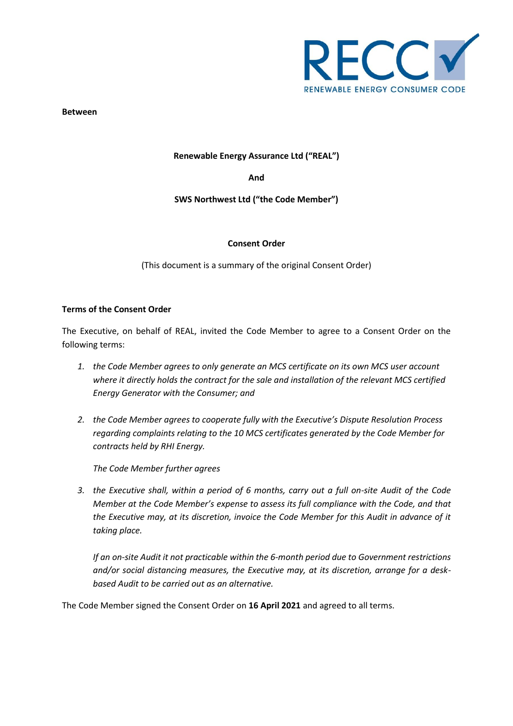

**Between**

### **Renewable Energy Assurance Ltd ("REAL")**

**And**

# **SWS Northwest Ltd ("the Code Member")**

#### **Consent Order**

(This document is a summary of the original Consent Order)

### **Terms of the Consent Order**

The Executive, on behalf of REAL, invited the Code Member to agree to a Consent Order on the following terms:

- *1. the Code Member agrees to only generate an MCS certificate on its own MCS user account where it directly holds the contract for the sale and installation of the relevant MCS certified Energy Generator with the Consumer; and*
- *2. the Code Member agrees to cooperate fully with the Executive's Dispute Resolution Process regarding complaints relating to the 10 MCS certificates generated by the Code Member for contracts held by RHI Energy.*

*The Code Member further agrees*

*3. the Executive shall, within a period of 6 months, carry out a full on-site Audit of the Code Member at the Code Member's expense to assess its full compliance with the Code, and that the Executive may, at its discretion, invoice the Code Member for this Audit in advance of it taking place.*

*If an on-site Audit it not practicable within the 6-month period due to Government restrictions and/or social distancing measures, the Executive may, at its discretion, arrange for a deskbased Audit to be carried out as an alternative.*

The Code Member signed the Consent Order on **16 April 2021** and agreed to all terms.